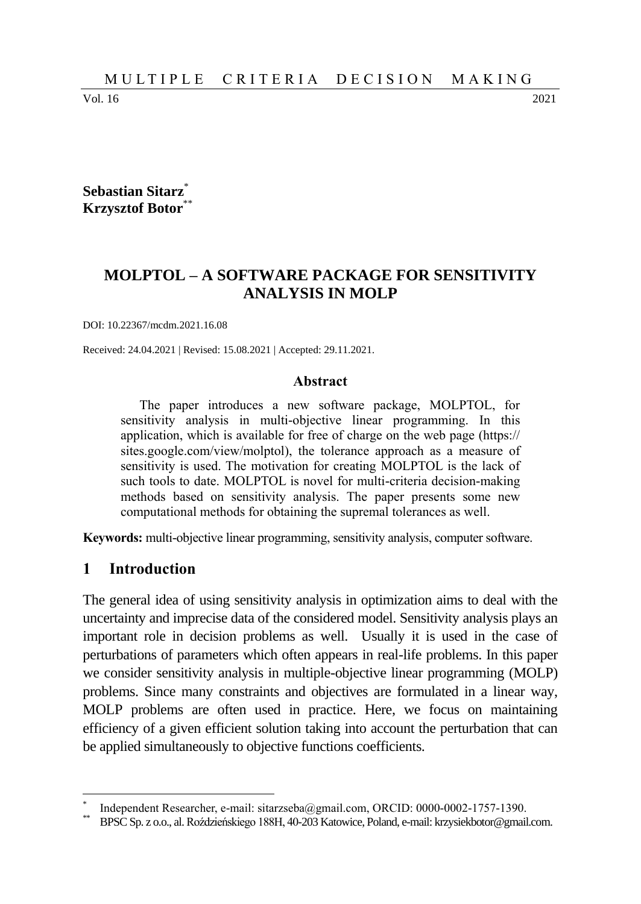Vol. 16 2021

**Sebastian Sitarz**\* **Krzysztof Botor**\*\*

# **MOLPTOL – A SOFTWARE PACKAGE FOR SENSITIVITY ANALYSIS IN MOLP**

DOI: 10.22367/mcdm.2021.16.08

Received: 24.04.2021 | Revised: 15.08.2021 | Accepted: 29.11.2021.

#### **Abstract**

The paper introduces a new software package, MOLPTOL, for sensitivity analysis in multi-objective linear programming. In this application, which is available for free of charge on the web page (https:// sites.google.com/view/molptol), the tolerance approach as a measure of sensitivity is used. The motivation for creating MOLPTOL is the lack of such tools to date. MOLPTOL is novel for multi-criteria decision-making methods based on sensitivity analysis. The paper presents some new computational methods for obtaining the supremal tolerances as well.

**Keywords:** multi-objective linear programming, sensitivity analysis, computer software.

#### **1 Introduction**

 $\overline{a}$ 

The general idea of using sensitivity analysis in optimization aims to deal with the uncertainty and imprecise data of the considered model. Sensitivity analysis plays an important role in decision problems as well. Usually it is used in the case of perturbations of parameters which often appears in real-life problems. In this paper we consider sensitivity analysis in multiple-objective linear programming (MOLP) problems. Since many constraints and objectives are formulated in a linear way, MOLP problems are often used in practice. Here, we focus on maintaining efficiency of a given efficient solution taking into account the perturbation that can be applied simultaneously to objective functions coefficients.

<sup>\*</sup> Independent Researcher, e-mail: sitarzseba@gmail.com, ORCID: 0000-0002-1757-1390.

<sup>\*\*</sup> BPSC Sp. z o.o., al.Roździeńskiego 188H, 40-203 Katowice, Poland, e-mail: krzysiekbotor@gmail.com.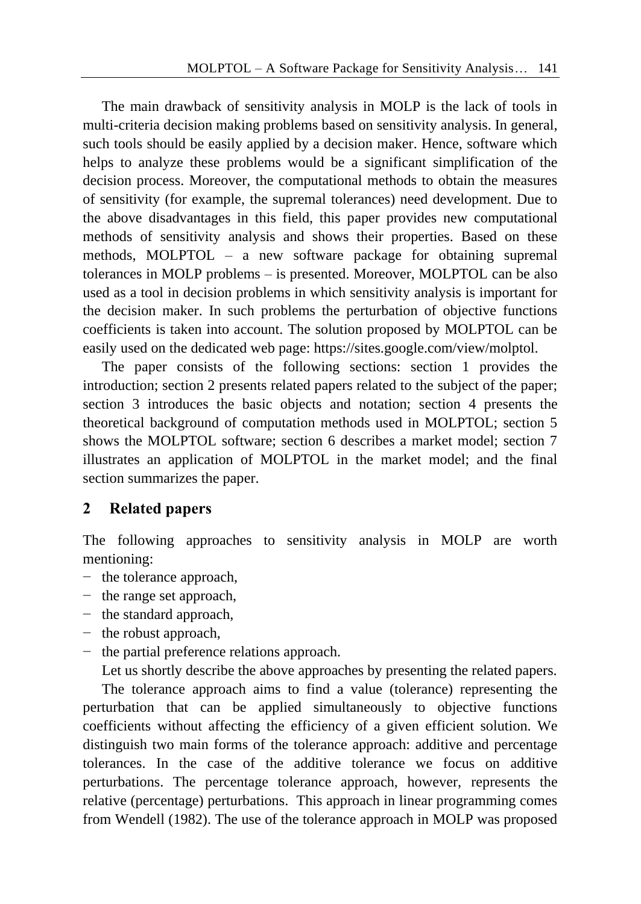The main drawback of sensitivity analysis in MOLP is the lack of tools in multi-criteria decision making problems based on sensitivity analysis. In general, such tools should be easily applied by a decision maker. Hence, software which helps to analyze these problems would be a significant simplification of the decision process. Moreover, the computational methods to obtain the measures of sensitivity (for example, the supremal tolerances) need development. Due to the above disadvantages in this field, this paper provides new computational methods of sensitivity analysis and shows their properties. Based on these methods, MOLPTOL – a new software package for obtaining supremal tolerances in MOLP problems – is presented. Moreover, MOLPTOL can be also used as a tool in decision problems in which sensitivity analysis is important for the decision maker. In such problems the perturbation of objective functions coefficients is taken into account. The solution proposed by MOLPTOL can be easily used on the dedicated web page: https://sites.google.com/view/molptol.

The paper consists of the following sections: section 1 provides the introduction; section 2 presents related papers related to the subject of the paper; section 3 introduces the basic objects and notation; section 4 presents the theoretical background of computation methods used in MOLPTOL; section 5 shows the MOLPTOL software; section 6 describes a market model; section 7 illustrates an application of MOLPTOL in the market model; and the final section summarizes the paper.

## **2 Related papers**

The following approaches to sensitivity analysis in MOLP are worth mentioning:

- − the tolerance approach,
- − the range set approach,
- − the standard approach,
- − the robust approach,
- − the partial preference relations approach.

Let us shortly describe the above approaches by presenting the related papers.

The tolerance approach aims to find a value (tolerance) representing the perturbation that can be applied simultaneously to objective functions coefficients without affecting the efficiency of a given efficient solution. We distinguish two main forms of the tolerance approach: additive and percentage tolerances. In the case of the additive tolerance we focus on additive perturbations. The percentage tolerance approach, however, represents the relative (percentage) perturbations. This approach in linear programming comes from Wendell (1982). The use of the tolerance approach in MOLP was proposed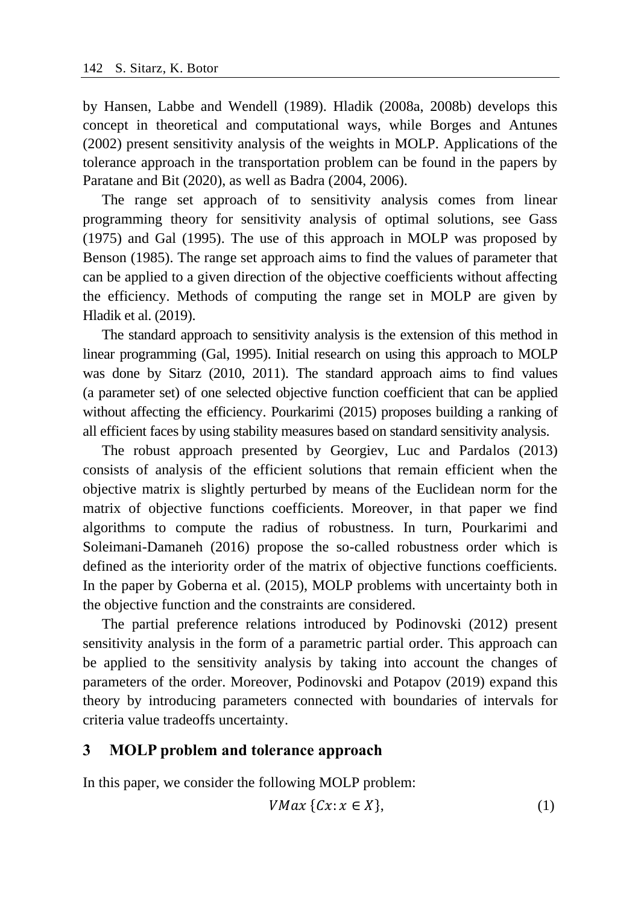by Hansen, Labbe and Wendell (1989). Hladik (2008a, 2008b) develops this concept in theoretical and computational ways, while Borges and Antunes (2002) present sensitivity analysis of the weights in MOLP. Applications of the tolerance approach in the transportation problem can be found in the papers by Paratane and Bit (2020), as well as Badra (2004, 2006).

The range set approach of to sensitivity analysis comes from linear programming theory for sensitivity analysis of optimal solutions, see Gass (1975) and Gal (1995). The use of this approach in MOLP was proposed by Benson (1985). The range set approach aims to find the values of parameter that can be applied to a given direction of the objective coefficients without affecting the efficiency. Methods of computing the range set in MOLP are given by Hladik et al. (2019).

The standard approach to sensitivity analysis is the extension of this method in linear programming (Gal, 1995). Initial research on using this approach to MOLP was done by Sitarz (2010, 2011). The standard approach aims to find values (a parameter set) of one selected objective function coefficient that can be applied without affecting the efficiency. Pourkarimi (2015) proposes building a ranking of all efficient faces by using stability measures based on standard sensitivity analysis.

The robust approach presented by Georgiev, Luc and Pardalos (2013) consists of analysis of the efficient solutions that remain efficient when the objective matrix is slightly perturbed by means of the Euclidean norm for the matrix of objective functions coefficients. Moreover, in that paper we find algorithms to compute the radius of robustness. In turn, Pourkarimi and Soleimani-Damaneh (2016) propose the so-called robustness order which is defined as the interiority order of the matrix of objective functions coefficients. In the paper by Goberna et al. (2015), MOLP problems with uncertainty both in the objective function and the constraints are considered.

The partial preference relations introduced by Podinovski (2012) present sensitivity analysis in the form of a parametric partial order. This approach can be applied to the sensitivity analysis by taking into account the changes of parameters of the order. Moreover, Podinovski and Potapov (2019) expand this theory by introducing parameters connected with boundaries of intervals for criteria value tradeoffs uncertainty.

#### **3 MOLP problem and tolerance approach**

In this paper, we consider the following MOLP problem:

$$
VMax \{Cx: x \in X\},\tag{1}
$$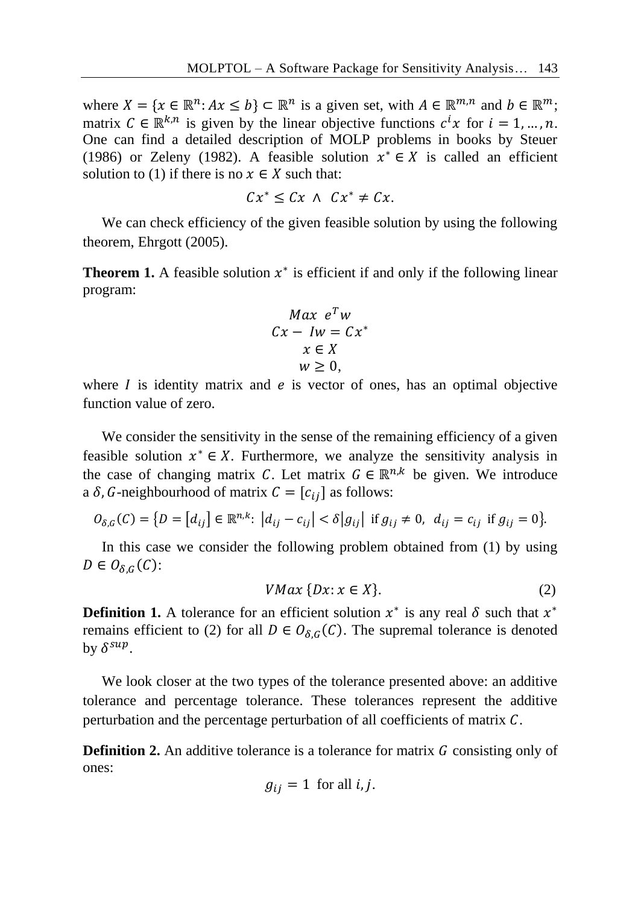where  $X = \{x \in \mathbb{R}^n : Ax \leq b\} \subset \mathbb{R}^n$  is a given set, with  $A \in \mathbb{R}^{m,n}$  and  $b \in \mathbb{R}^m$ ; matrix  $C \in \mathbb{R}^{k,n}$  is given by the linear objective functions  $c^i x$  for  $i = 1, ..., n$ . One can find a detailed description of MOLP problems in books by Steuer (1986) or Zeleny (1982). A feasible solution  $x^* \in X$  is called an efficient solution to (1) if there is no  $x \in X$  such that:

 $Cx^* \leq Cx \wedge Cx^* \neq Cx.$ 

We can check efficiency of the given feasible solution by using the following theorem, Ehrgott (2005).

**Theorem 1.** A feasible solution  $x^*$  is efficient if and only if the following linear program:

$$
Max eT w
$$
  
\n
$$
Cx - Iw = Cx^*
$$
  
\n
$$
x \in X
$$
  
\n
$$
w \ge 0,
$$

where  $I$  is identity matrix and  $e$  is vector of ones, has an optimal objective function value of zero.

We consider the sensitivity in the sense of the remaining efficiency of a given feasible solution  $x^* \in X$ . Furthermore, we analyze the sensitivity analysis in the case of changing matrix C. Let matrix  $G \in \mathbb{R}^{n,k}$  be given. We introduce a  $\delta$ , G-neighbourhood of matrix  $C = [c_{ij}]$  as follows:

$$
O_{\delta,G}(C) = \{ D = [d_{ij}] \in \mathbb{R}^{n,k} : |d_{ij} - c_{ij}| < \delta |g_{ij}| \text{ if } g_{ij} \neq 0, \ d_{ij} = c_{ij} \text{ if } g_{ij} = 0 \}.
$$

In this case we consider the following problem obtained from (1) by using  $D \in O_{\delta,G}(C)$ :

$$
VMax\{Dx: x \in X\}.\tag{2}
$$

**Definition 1.** A tolerance for an efficient solution  $x^*$  is any real  $\delta$  such that  $x^*$ remains efficient to (2) for all  $D \in O_{\delta,G}(C)$ . The supremal tolerance is denoted by  $\delta^{sup}$ .

We look closer at the two types of the tolerance presented above: an additive tolerance and percentage tolerance. These tolerances represent the additive perturbation and the percentage perturbation of all coefficients of matrix  $C$ .

**Definition 2.** An additive tolerance is a tolerance for matrix G consisting only of ones:

$$
g_{ij} = 1
$$
 for all *i*, *j*.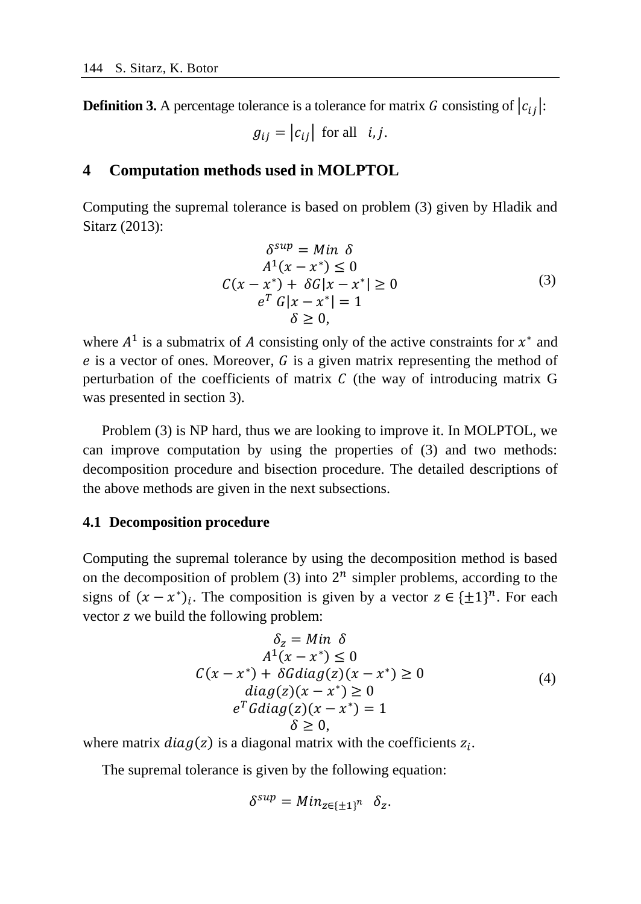**Definition 3.** A percentage tolerance is a tolerance for matrix G consisting of  $|c_{ij}|$ :

 $g_{ij} = |c_{ij}|$  for all i, j.

# **4 Computation methods used in MOLPTOL**

Computing the supremal tolerance is based on problem (3) given by Hladik and Sitarz (2013):

$$
\delta^{sup} = Min \delta
$$
  
\n
$$
A^{1}(x - x^{*}) \leq 0
$$
  
\n
$$
C(x - x^{*}) + \delta G |x - x^{*}| \geq 0
$$
  
\n
$$
e^{T} G |x - x^{*}| = 1
$$
  
\n
$$
\delta \geq 0,
$$
\n(3)

where  $A^1$  is a submatrix of A consisting only of the active constraints for  $x^*$  and  $e$  is a vector of ones. Moreover,  $G$  is a given matrix representing the method of perturbation of the coefficients of matrix  $C$  (the way of introducing matrix  $G$ was presented in section 3).

Problem (3) is NP hard, thus we are looking to improve it. In MOLPTOL, we can improve computation by using the properties of (3) and two methods: decomposition procedure and bisection procedure. The detailed descriptions of the above methods are given in the next subsections.

#### **4.1 Decomposition procedure**

Computing the supremal tolerance by using the decomposition method is based on the decomposition of problem  $(3)$  into  $2^n$  simpler problems, according to the signs of  $(x - x^*)_i$ . The composition is given by a vector  $z \in {\pm 1}^n$ . For each vector z we build the following problem:

$$
\delta_z = Min \delta
$$
  
\n
$$
A^1(x - x^*) \le 0
$$
  
\n
$$
C(x - x^*) + \delta Gdiag(z)(x - x^*) \ge 0
$$
  
\n
$$
diag(z)(x - x^*) \ge 0
$$
  
\n
$$
e^T Gdiag(z)(x - x^*) = 1
$$
  
\n
$$
\delta \ge 0,
$$
\n(4)

where matrix  $diag(z)$  is a diagonal matrix with the coefficients  $z_i$ .

The supremal tolerance is given by the following equation:

$$
\delta^{sup} = Min_{z \in {\{\pm 1\}}^n} \delta_z.
$$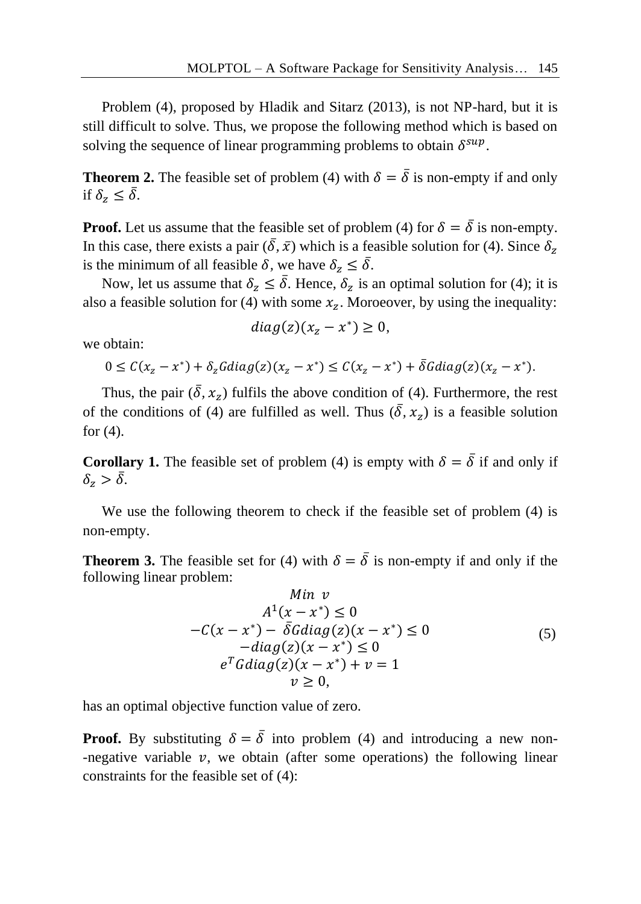Problem (4), proposed by Hladik and Sitarz (2013), is not NP-hard, but it is still difficult to solve. Thus, we propose the following method which is based on solving the sequence of linear programming problems to obtain  $\delta^{sup}$ .

**Theorem 2.** The feasible set of problem (4) with  $\delta = \overline{\delta}$  is non-empty if and only if  $\delta_z \leq \bar{\delta}$ .

**Proof.** Let us assume that the feasible set of problem (4) for  $\delta = \overline{\delta}$  is non-empty. In this case, there exists a pair  $(\bar{\delta}, \bar{x})$  which is a feasible solution for (4). Since  $\delta_z$ is the minimum of all feasible  $\delta$ , we have  $\delta_z \leq \overline{\delta}$ .

Now, let us assume that  $\delta_z \leq \overline{\delta}$ . Hence,  $\delta_z$  is an optimal solution for (4); it is also a feasible solution for (4) with some  $x_z$ . Moroeover, by using the inequality:

$$
diag(z)(x_z - x^*) \geq 0,
$$

we obtain:

$$
0 \leq C(x_z - x^*) + \delta_z G \, diag(z)(x_z - x^*) \leq C(x_z - x^*) + \overline{\delta} G \, diag(z)(x_z - x^*).
$$

Thus, the pair  $(\bar{\delta}, x_z)$  fulfils the above condition of (4). Furthermore, the rest of the conditions of (4) are fulfilled as well. Thus  $(\bar{\delta}, x_z)$  is a feasible solution for  $(4)$ .

**Corollary 1.** The feasible set of problem (4) is empty with  $\delta = \overline{\delta}$  if and only if  $\delta_z > \bar{\delta}$ .

We use the following theorem to check if the feasible set of problem (4) is non-empty.

**Theorem 3.** The feasible set for (4) with  $\delta = \overline{\delta}$  is non-empty if and only if the following linear problem:

$$
\begin{aligned}\n\text{Min } v\\ A^1(x - x^*) &\le 0\\ -C(x - x^*) - \bar{\delta}Gdiag(z)(x - x^*) &\le 0\\ -diag(z)(x - x^*) &\le 0\\ e^T Gdiag(z)(x - x^*) + v &= 1\\ v &\ge 0,\n\end{aligned}\n\tag{5}
$$

has an optimal objective function value of zero.

**Proof.** By substituting  $\delta = \overline{\delta}$  into problem (4) and introducing a new non--negative variable  $v$ , we obtain (after some operations) the following linear constraints for the feasible set of (4):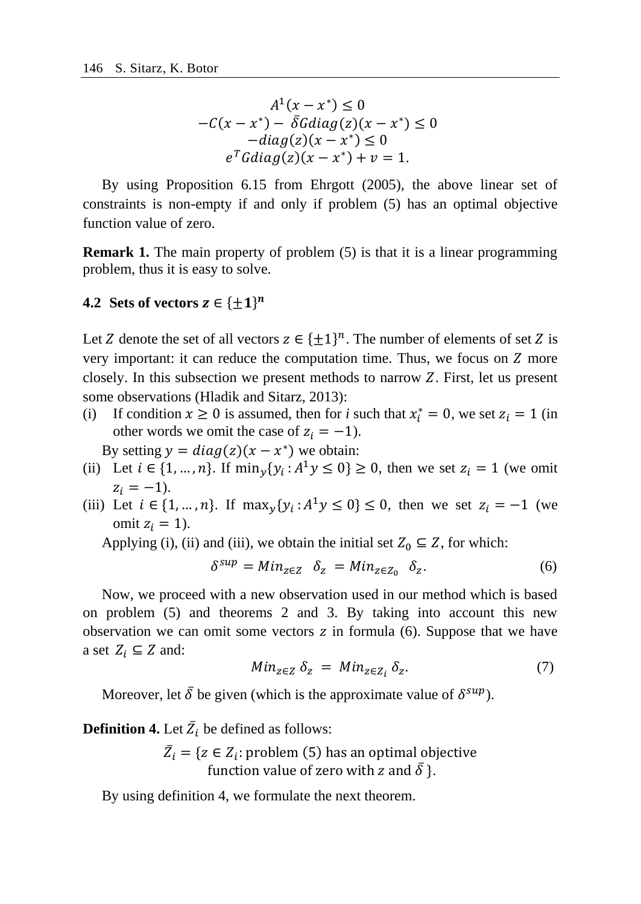$$
A1(x - x*) \le 0
$$
  
-C(x - x<sup>\*</sup>) -  $\overline{\delta}$ Gdiag(z)(x - x<sup>\*</sup>) \le 0  
-diag(z)(x - x<sup>\*</sup>) \le 0  
e<sup>T</sup>Gdiag(z)(x - x<sup>\*</sup>) + v = 1.

By using Proposition 6.15 from Ehrgott (2005), the above linear set of constraints is non-empty if and only if problem (5) has an optimal objective function value of zero.

**Remark 1.** The main property of problem (5) is that it is a linear programming problem, thus it is easy to solve.

## **4.2 Sets of vectors**  $z \in \{\pm 1\}^n$

Let Z denote the set of all vectors  $z \in \{\pm 1\}^n$ . The number of elements of set Z is very important: it can reduce the computation time. Thus, we focus on  $Z$  more closely. In this subsection we present methods to narrow  $Z$ . First, let us present some observations (Hladik and Sitarz, 2013):

(i) If condition  $x \ge 0$  is assumed, then for *i* such that  $x_i^* = 0$ , we set  $z_i = 1$  (in other words we omit the case of  $z_i = -1$ ).

By setting  $y = diag(z)(x - x^*)$  we obtain:

- (ii) Let  $i \in \{1, ..., n\}$ . If  $\min_{y} \{y_i : A^1 y \le 0\} \ge 0$ , then we set  $z_i = 1$  (we omit  $z_i = -1$ ).
- (iii) Let  $i \in \{1, ..., n\}$ . If  $\max_{y} \{y_i : A^1y \le 0\} \le 0$ , then we set  $z_i = -1$  (we omit  $z_i = 1$ ).

Applying (i), (ii) and (iii), we obtain the initial set  $Z_0 \subseteq Z$ , for which:

$$
\delta^{sup} = Min_{z \in Z} \quad \delta_z = Min_{z \in Z_0} \quad \delta_z. \tag{6}
$$

Now, we proceed with a new observation used in our method which is based on problem (5) and theorems 2 and 3. By taking into account this new observation we can omit some vectors  $z$  in formula (6). Suppose that we have a set  $Z_i \subseteq Z$  and:

$$
Min_{z \in Z} \delta_z = Min_{z \in Z_i} \delta_z. \tag{7}
$$

Moreover, let  $\bar{\delta}$  be given (which is the approximate value of  $\delta^{sup}$ ).

**Definition 4.** Let  $\overline{Z}_i$  be defined as follows:

 $\bar{Z}_i = \{ z \in Z_i : \text{problem (5)} \text{ has an optimal objective} \}$ function value of zero with z and  $\overline{\delta}$  }.

By using definition 4, we formulate the next theorem.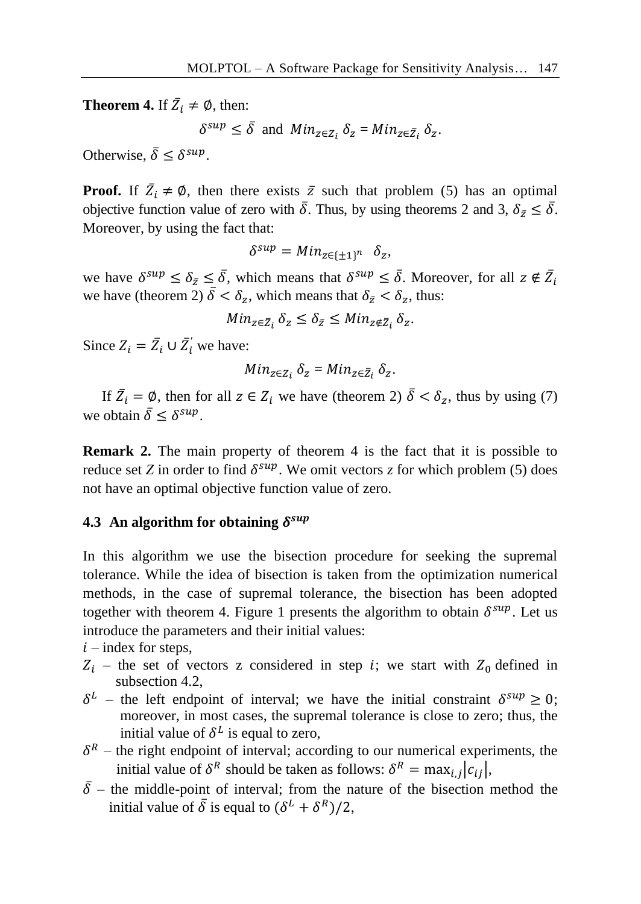**Theorem 4.** If  $\overline{Z}_i \neq \emptyset$ , then:

 $\delta^{sup} \leq \bar{\delta}$  and  $Min_{z \in Z_i} \delta_z = Min_{z \in \bar{Z}_i} \delta_z$ .

Otherwise,  $\bar{\delta} \leq \delta^{sup}$ .

**Proof.** If  $\overline{Z}_i \neq \emptyset$ , then there exists  $\overline{z}$  such that problem (5) has an optimal objective function value of zero with  $\bar{\delta}$ . Thus, by using theorems 2 and 3,  $\delta_{\bar{z}} \leq \bar{\delta}$ . Moreover, by using the fact that:

$$
\delta^{sup} = Min_{z \in \{\pm 1\}^n} \delta_z,
$$

we have  $\delta^{sup} \leq \delta_{\bar{z}} \leq \bar{\delta}$ , which means that  $\delta^{sup} \leq \bar{\delta}$ . Moreover, for all  $z \notin \bar{Z}_i$ we have (theorem 2)  $\bar{\delta} < \delta_z$ , which means that  $\delta_{\bar{z}} < \delta_z$ , thus:

$$
Min_{z\in\bar{Z}_i} \delta_z \le \delta_{\bar{z}} \le Min_{z\notin\bar{Z}_i} \delta_z.
$$

Since  $Z_i = \overline{Z}_i \cup \overline{Z}'_i$  we have:

$$
Min_{z\in Z_i} \delta_z = Min_{z\in \bar{Z}_i} \delta_z.
$$

If  $\bar{Z}_i = \emptyset$ , then for all  $z \in Z_i$  we have (theorem 2)  $\bar{\delta} < \delta_z$ , thus by using (7) we obtain  $\bar{\delta} \leq \delta^{sup}$ .

**Remark 2.** The main property of theorem 4 is the fact that it is possible to reduce set *Z* in order to find  $\delta^{sup}$ . We omit vectors *z* for which problem (5) does not have an optimal objective function value of zero.

## **4.3 An algorithm for obtaining**

In this algorithm we use the bisection procedure for seeking the supremal tolerance. While the idea of bisection is taken from the optimization numerical methods, in the case of supremal tolerance, the bisection has been adopted together with theorem 4. Figure 1 presents the algorithm to obtain  $\delta^{sup}$ . Let us introduce the parameters and their initial values:

 $i$  – index for steps,

- $Z_i$  the set of vectors z considered in step *i*; we start with  $Z_0$  defined in subsection 4.2,
- $\delta^L$  the left endpoint of interval; we have the initial constraint  $\delta^{sup} \ge 0$ ; moreover, in most cases, the supremal tolerance is close to zero; thus, the initial value of  $\delta^L$  is equal to zero,
- $\delta^R$  the right endpoint of interval; according to our numerical experiments, the initial value of  $\delta^R$  should be taken as follows:  $\delta^R = \max_{i,j} |c_{ij}|$ ,
- $\overline{\delta}$  the middle-point of interval; from the nature of the bisection method the initial value of  $\bar{\delta}$  is equal to  $(\delta^L + \delta^R)/2$ ,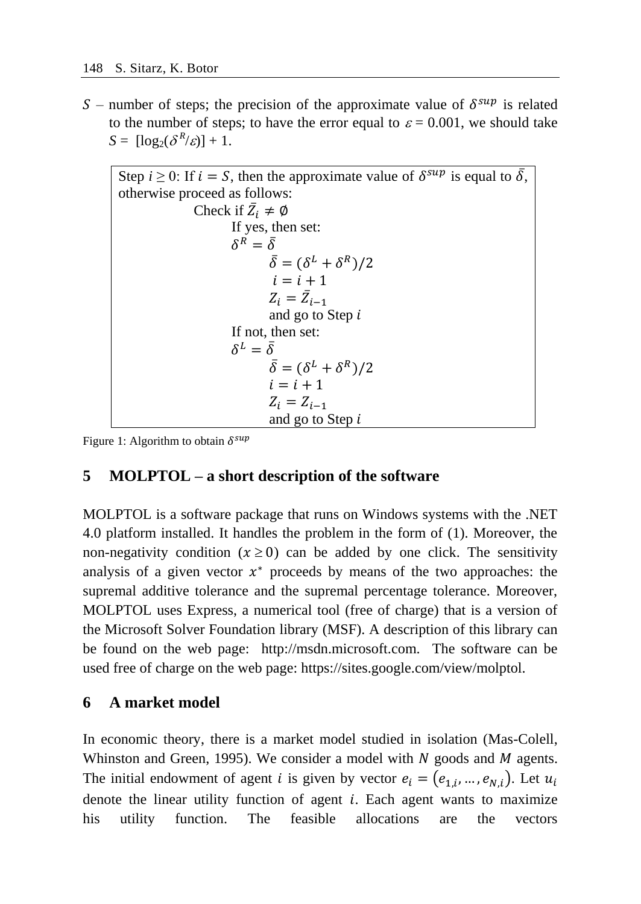S – number of steps; the precision of the approximate value of  $\delta^{sup}$  is related to the number of steps; to have the error equal to  $\varepsilon = 0.001$ , we should take  $S = [\log_2(\delta^R/\varepsilon)] + 1.$ 

```
Step i \geq 0: If i = S, then the approximate value of \delta^{sup} is equal to \bar{\delta},
otherwise proceed as follows:
                   Check if \bar{Z}_i \neq \emptysetIf yes, then set:
                            \delta^R = \bar{\delta}\bar{\delta} = (\delta^L + \delta^R)/2i = i + 1Z_i = \bar{Z}_{i-1}and go to Step 
                            If not, then set:
                            \delta^L = \bar{\delta}\bar{\delta} = (\delta^L + \delta^R)/2i = i + 1Z_i = Z_{i-1}and go to Step
```
Figure 1: Algorithm to obtain  $\delta^{sup}$ 

# **5 MOLPTOL – a short description of the software**

MOLPTOL is a software package that runs on Windows systems with the .NET 4.0 platform installed. It handles the problem in the form of (1). Moreover, the non-negativity condition  $(x \ge 0)$  can be added by one click. The sensitivity analysis of a given vector  $x^*$  proceeds by means of the two approaches: the supremal additive tolerance and the supremal percentage tolerance. Moreover, MOLPTOL uses Express, a numerical tool (free of charge) that is a version of the Microsoft Solver Foundation library (MSF). A description of this library can be found on the web page: http://msdn.microsoft.com. The software can be used free of charge on the web page: https://sites.google.com/view/molptol.

## **6 A market model**

In economic theory, there is a market model studied in isolation (Mas-Colell, Whinston and Green, 1995). We consider a model with  $N$  goods and  $M$  agents. The initial endowment of agent *i* is given by vector  $e_i = (e_{1,i}, ..., e_{N,i})$ . Let  $u_i$ denote the linear utility function of agent  $i$ . Each agent wants to maximize his utility function. The feasible allocations are the vectors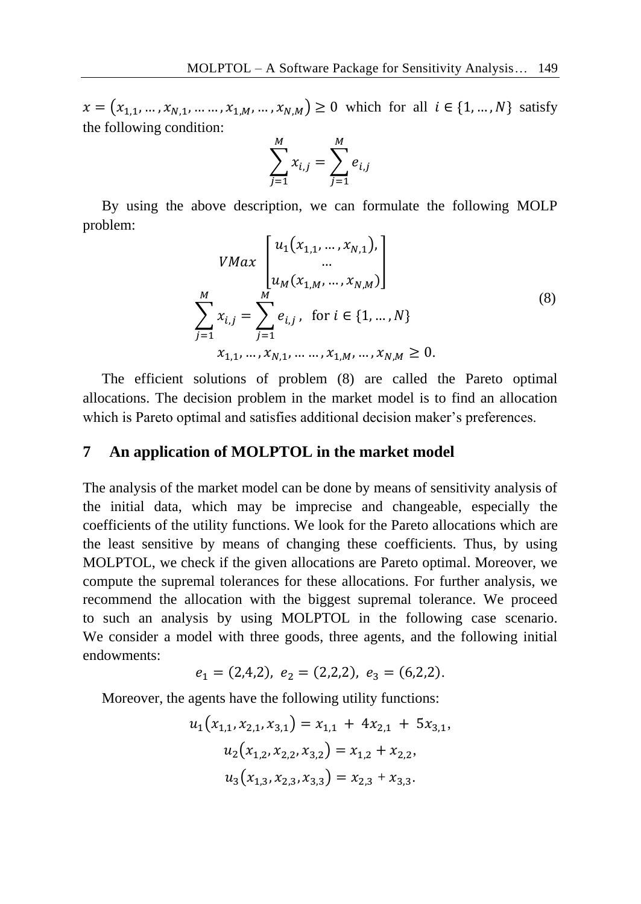$x = (x_{1,1}, ..., x_{N,1}, ..., x_{1,M}, ..., x_{N,M}) \ge 0$  which for all  $i \in \{1, ..., N\}$  satisfy the following condition:

$$
\sum_{j=1}^{M} x_{i,j} = \sum_{j=1}^{M} e_{i,j}
$$

By using the above description, we can formulate the following MOLP problem:

$$
VMax\begin{bmatrix} u_1(x_{1,1},...,x_{N,1}), \\ ... \\ u_M(x_{1,M},...,x_{N,M}) \end{bmatrix}
$$
  

$$
\sum_{j=1}^M x_{i,j} = \sum_{j=1}^M e_{i,j}, \text{ for } i \in \{1,...,N\}
$$
  

$$
x_{1,1},...,x_{N,1},...,x_{1,M},...,x_{N,M} \ge 0.
$$
  

$$
(8)
$$

The efficient solutions of problem (8) are called the Pareto optimal allocations. The decision problem in the market model is to find an allocation which is Pareto optimal and satisfies additional decision maker's preferences.

#### **7 An application of MOLPTOL in the market model**

The analysis of the market model can be done by means of sensitivity analysis of the initial data, which may be imprecise and changeable, especially the coefficients of the utility functions. We look for the Pareto allocations which are the least sensitive by means of changing these coefficients. Thus, by using MOLPTOL, we check if the given allocations are Pareto optimal. Moreover, we compute the supremal tolerances for these allocations. For further analysis, we recommend the allocation with the biggest supremal tolerance. We proceed to such an analysis by using MOLPTOL in the following case scenario. We consider a model with three goods, three agents, and the following initial endowments:

$$
e_1 = (2,4,2), e_2 = (2,2,2), e_3 = (6,2,2).
$$

Moreover, the agents have the following utility functions:

$$
u_1(x_{1,1}, x_{2,1}, x_{3,1}) = x_{1,1} + 4x_{2,1} + 5x_{3,1},
$$
  
\n
$$
u_2(x_{1,2}, x_{2,2}, x_{3,2}) = x_{1,2} + x_{2,2},
$$
  
\n
$$
u_3(x_{1,3}, x_{2,3}, x_{3,3}) = x_{2,3} + x_{3,3}.
$$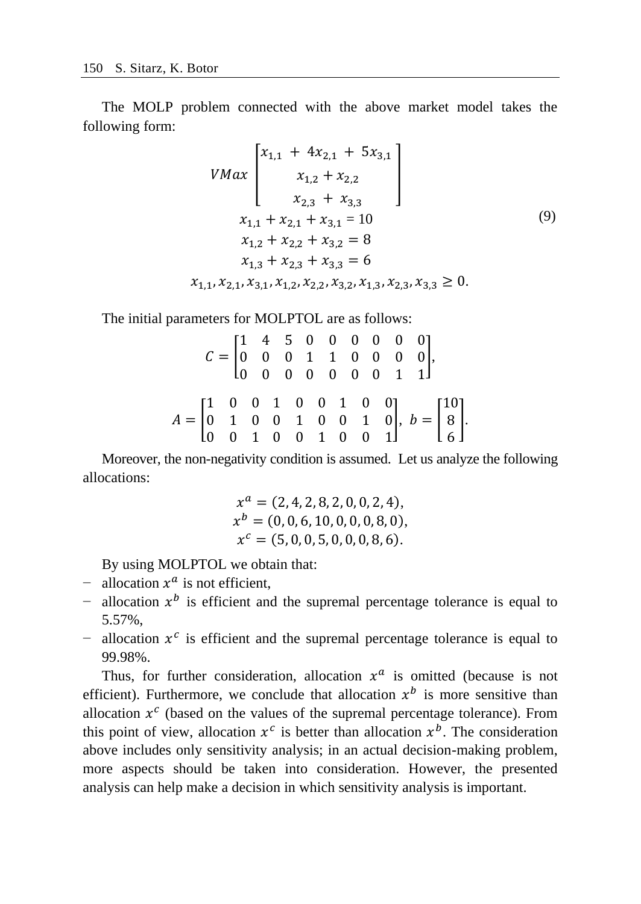The MOLP problem connected with the above market model takes the following form:

$$
VMax\begin{bmatrix} x_{1,1} + 4x_{2,1} + 5x_{3,1} \\ x_{1,2} + x_{2,2} \\ x_{2,3} + x_{3,3} \end{bmatrix}
$$
  
\n
$$
x_{1,1} + x_{2,1} + x_{3,1} = 10
$$
  
\n
$$
x_{1,2} + x_{2,2} + x_{3,2} = 8
$$
  
\n
$$
x_{1,3} + x_{2,3} + x_{3,3} = 6
$$
  
\n
$$
x_{1,1}, x_{2,1}, x_{3,1}, x_{1,2}, x_{2,2}, x_{3,2}, x_{1,3}, x_{2,3}, x_{3,3} \ge 0.
$$
  
\n(9)

The initial parameters for MOLPTOL are as follows:

|                                                                                                                                                                                                  |  |  |  |  |  | $\label{eq:2} \mathcal{C} = \begin{bmatrix} 1 & 4 & 5 & 0 & 0 & 0 & 0 & 0 & 0 \\ 0 & 0 & 0 & 1 & 1 & 0 & 0 & 0 & 0 \\ 0 & 0 & 0 & 0 & 0 & 0 & 0 & 1 & 1 \end{bmatrix}\!.$ |  |  |  |
|--------------------------------------------------------------------------------------------------------------------------------------------------------------------------------------------------|--|--|--|--|--|---------------------------------------------------------------------------------------------------------------------------------------------------------------------------|--|--|--|
|                                                                                                                                                                                                  |  |  |  |  |  |                                                                                                                                                                           |  |  |  |
|                                                                                                                                                                                                  |  |  |  |  |  |                                                                                                                                                                           |  |  |  |
|                                                                                                                                                                                                  |  |  |  |  |  |                                                                                                                                                                           |  |  |  |
| $A = \begin{bmatrix} 1 & 0 & 0 & 1 & 0 & 0 & 1 & 0 & 0 \\ 0 & 1 & 0 & 0 & 1 & 0 & 0 & 1 & 0 \\ 0 & 0 & 1 & 0 & 0 & 1 & 0 & 0 & 1 \end{bmatrix}, b = \begin{bmatrix} 10 \\ 8 \\ 6 \end{bmatrix}.$ |  |  |  |  |  |                                                                                                                                                                           |  |  |  |

Moreover, the non-negativity condition is assumed. Let us analyze the following allocations:

$$
x^{a} = (2, 4, 2, 8, 2, 0, 0, 2, 4),
$$
  
\n
$$
x^{b} = (0, 0, 6, 10, 0, 0, 0, 8, 0),
$$
  
\n
$$
x^{c} = (5, 0, 0, 5, 0, 0, 0, 8, 6).
$$

By using MOLPTOL we obtain that:

- $\blacksquare$  allocation  $x^a$  is not efficient,
- $-$  allocation  $x^b$  is efficient and the supremal percentage tolerance is equal to 5.57%,
- $\sim$  allocation  $x^c$  is efficient and the supremal percentage tolerance is equal to 99.98%.

Thus, for further consideration, allocation  $x^a$  is omitted (because is not efficient). Furthermore, we conclude that allocation  $x^b$  is more sensitive than allocation  $x^c$  (based on the values of the supremal percentage tolerance). From this point of view, allocation  $x^c$  is better than allocation  $x^b$ . The consideration above includes only sensitivity analysis; in an actual decision-making problem, more aspects should be taken into consideration. However, the presented analysis can help make a decision in which sensitivity analysis is important.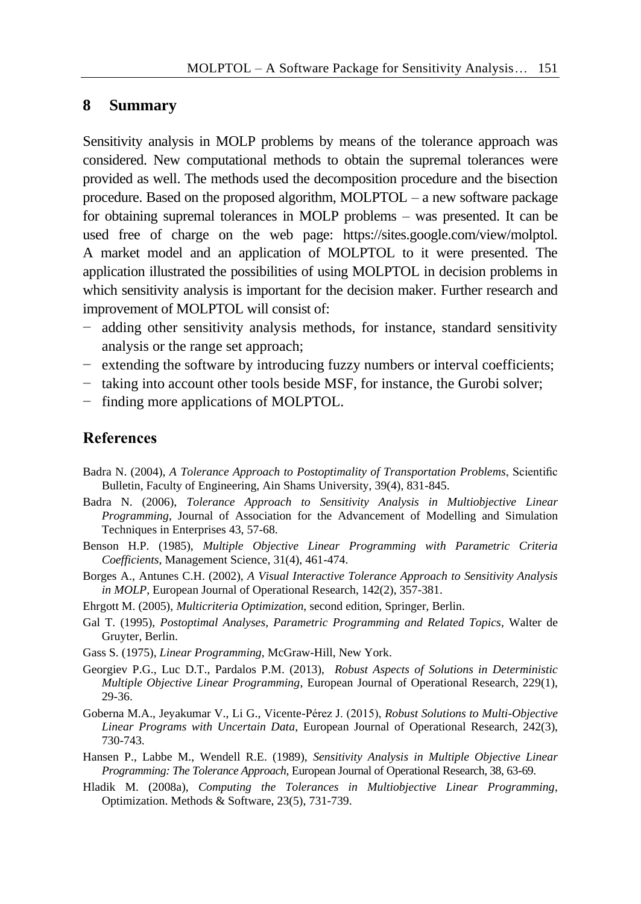#### **8 Summary**

Sensitivity analysis in MOLP problems by means of the tolerance approach was considered. New computational methods to obtain the supremal tolerances were provided as well. The methods used the decomposition procedure and the bisection procedure. Based on the proposed algorithm, MOLPTOL – a new software package for obtaining supremal tolerances in MOLP problems – was presented. It can be used free of charge on the web page: https://sites.google.com/view/molptol. A market model and an application of MOLPTOL to it were presented. The application illustrated the possibilities of using MOLPTOL in decision problems in which sensitivity analysis is important for the decision maker. Further research and improvement of MOLPTOL will consist of:

- − adding other sensitivity analysis methods, for instance, standard sensitivity analysis or the range set approach;
- − extending the software by introducing fuzzy numbers or interval coefficients;
- − taking into account other tools beside MSF, for instance, the Gurobi solver;
- − finding more applications of MOLPTOL.

#### **References**

- Badra N. (2004), *A Tolerance Approach to Postoptimality of Transportation Problems*, Scientific Bulletin, Faculty of Engineering, Ain Shams University, 39(4), 831-845.
- Badra N. (2006), *Tolerance Approach to Sensitivity Analysis in Multiobjective Linear Programming*, Journal of Association for the Advancement of Modelling and Simulation Techniques in Enterprises 43, 57-68.
- Benson H.P. (1985), *Multiple Objective Linear Programming with Parametric Criteria Coefficients*, Management Science, 31(4), 461-474.
- Borges A., Antunes C.H. (2002), *A Visual Interactive Tolerance Approach to Sensitivity Analysis in MOLP*, European Journal of Operational Research, 142(2), 357-381.
- Ehrgott M. (2005), *Multicriteria Optimization*, second edition, Springer, Berlin.
- Gal T. (1995), *Postoptimal Analyses, Parametric Programming and Related Topics*, Walter de Gruyter, Berlin.
- Gass S. (1975), *Linear Programming*, McGraw-Hill, New York.
- Georgiev P.G., Luc D.T., Pardalos P.M. (2013), *Robust Aspects of Solutions in Deterministic Multiple Objective Linear Programming*, European Journal of Operational Research, 229(1), 29-36.
- Goberna M.A., Jeyakumar V., Li G., Vicente-Pérez J. (2015), *Robust Solutions to Multi-Objective Linear Programs with Uncertain Data*, European Journal of Operational Research, 242(3), 730-743.
- Hansen P., Labbe M., Wendell R.E. (1989), *Sensitivity Analysis in Multiple Objective Linear Programming: The Tolerance Approach*, European Journal of Operational Research, 38, 63-69.
- Hladik M. (2008a), *Computing the Tolerances in Multiobjective Linear Programming*, Optimization. Methods & Software, 23(5), 731-739.